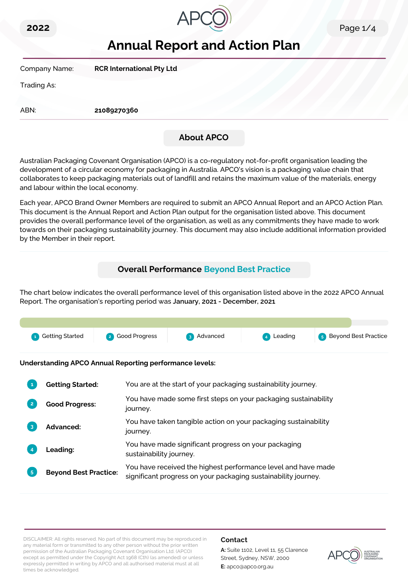



# **Annual Report and Action Plan**

Company Name: **RCR International Pty Ltd**

Trading As:

ABN: **21089270360**

# **About APCO**

Australian Packaging Covenant Organisation (APCO) is a co-regulatory not-for-profit organisation leading the development of a circular economy for packaging in Australia. APCO's vision is a packaging value chain that collaborates to keep packaging materials out of landfill and retains the maximum value of the materials, energy and labour within the local economy.

Each year, APCO Brand Owner Members are required to submit an APCO Annual Report and an APCO Action Plan. This document is the Annual Report and Action Plan output for the organisation listed above. This document provides the overall performance level of the organisation, as well as any commitments they have made to work towards on their packaging sustainability journey. This document may also include additional information provided by the Member in their report.

# **Overall Performance Beyond Best Practice**

The chart below indicates the overall performance level of this organisation listed above in the 2022 APCO Annual Report. The organisation's reporting period was **January, 2021 - December, 2021**.



**Understanding APCO Annual Reporting performance levels:**

|                | <b>Getting Started:</b>      | You are at the start of your packaging sustainability journey.                                                                  |
|----------------|------------------------------|---------------------------------------------------------------------------------------------------------------------------------|
| $\overline{2}$ | <b>Good Progress:</b>        | You have made some first steps on your packaging sustainability<br>journey.                                                     |
|                | <b>Advanced:</b>             | You have taken tangible action on your packaging sustainability<br>journey.                                                     |
|                | <b>Leading:</b>              | You have made significant progress on your packaging<br>sustainability journey.                                                 |
| 5 <sup>1</sup> | <b>Beyond Best Practice:</b> | You have received the highest performance level and have made<br>significant progress on your packaging sustainability journey. |

DISCLAIMER: All rights reserved. No part of this document may be reproduced in any material form or transmitted to any other person without the prior written permission of the Australian Packaging Covenant Organisation Ltd. (APCO) except as permitted under the Copyright Act 1968 (Cth) (as amended) or unless expressly permitted in writing by APCO and all authorised material must at all times be acknowledged.

### **Contact**

**A:** Suite 1102, Level 11, 55 Clarence Street, Sydney, NSW, 2000 **E:** apco@apco.org.au

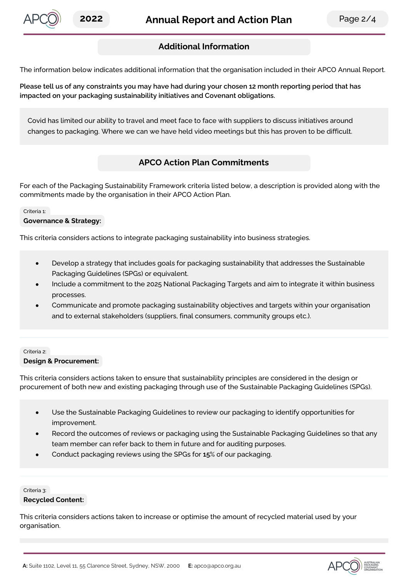

APCO

# **Additional Information**

The information below indicates additional information that the organisation included in their APCO Annual Report.

Please tell us of any constraints you may have had during your chosen 12 month reporting period that has **impacted on your packaging sustainability initiatives and Covenant obligations.**

Covid has limited our ability to travel and meet face to face with suppliers to discuss initiatives around changes to packaging. Where we can we have held video meetings but this has proven to be difficult.

## **APCO Action Plan Commitments**

For each of the Packaging Sustainability Framework criteria listed below, a description is provided along with the commitments made by the organisation in their APCO Action Plan.

#### Criteria 1:

#### **Governance & Strategy:**

This criteria considers actions to integrate packaging sustainability into business strategies.

- Develop a strategy that includes goals for packaging sustainability that addresses the Sustainable Packaging Guidelines (SPGs) or equivalent.
- Include a commitment to the 2025 National Packaging Targets and aim to integrate it within business processes.
- Communicate and promote packaging sustainability objectives and targets within your organisation and to external stakeholders (suppliers, final consumers, community groups etc.).

#### Criteria 2:

#### **Design & Procurement:**

This criteria considers actions taken to ensure that sustainability principles are considered in the design or procurement of both new and existing packaging through use of the Sustainable Packaging Guidelines (SPGs).

- Use the Sustainable Packaging Guidelines to review our packaging to identify opportunities for improvement.
- Record the outcomes of reviews or packaging using the Sustainable Packaging Guidelines so that any team member can refer back to them in future and for auditing purposes.
- Conduct packaging reviews using the SPGs for **15**% of our packaging.

Criteria 3:

#### **Recycled Content:**

This criteria considers actions taken to increase or optimise the amount of recycled material used by your organisation.

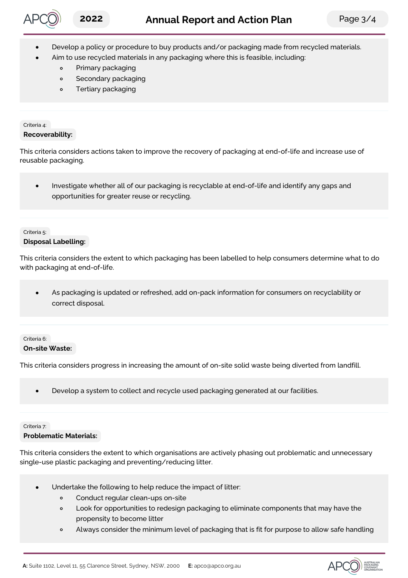

- Develop a policy or procedure to buy products and/or packaging made from recycled materials.
	- Aim to use recycled materials in any packaging where this is feasible, including:
		- $\circ$ Primary packaging
		- Secondary packaging  $\circ$
		- Tertiary packaging  $\circ$

#### Criteria 4: **Recoverability:**

This criteria considers actions taken to improve the recovery of packaging at end-of-life and increase use of reusable packaging.

Investigate whether all of our packaging is recyclable at end-of-life and identify any gaps and  $\bullet$ opportunities for greater reuse or recycling.

### Criteria 5:

### **Disposal Labelling:**

This criteria considers the extent to which packaging has been labelled to help consumers determine what to do with packaging at end-of-life.

As packaging is updated or refreshed, add on-pack information for consumers on recyclability or correct disposal.

### Criteria 6: **On-site Waste:**

This criteria considers progress in increasing the amount of on-site solid waste being diverted from landfill.

Develop a system to collect and recycle used packaging generated at our facilities.

#### Criteria 7:

#### **Problematic Materials:**

This criteria considers the extent to which organisations are actively phasing out problematic and unnecessary single-use plastic packaging and preventing/reducing litter.

- Undertake the following to help reduce the impact of litter:
	- $\circ$ Conduct regular clean-ups on-site
	- Look for opportunities to redesign packaging to eliminate components that may have the  $\circ$ propensity to become litter
	- Always consider the minimum level of packaging that is fit for purpose to allow safe handling  $\circ$